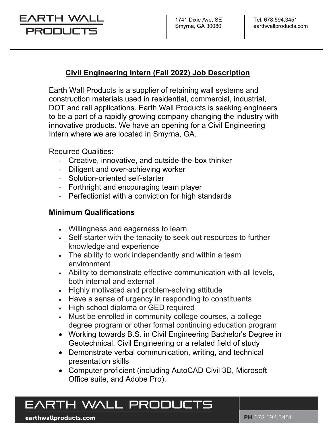## EARTH WALI PRODUC

### **Civil Engineering Intern (Fall 2022) Job Description**

Earth Wall Products is a supplier of retaining wall systems and construction materials used in residential, commercial, industrial, DOT and rail applications. Earth Wall Products is seeking engineers to be a part of a rapidly growing company changing the industry with innovative products. We have an opening for a Civil Engineering Intern where we are located in Smyrna, GA.

Required Qualities:

- ‐ Creative, innovative, and outside-the-box thinker
- ‐ Diligent and over-achieving worker
- ‐ Solution-oriented self-starter
- ‐ Forthright and encouraging team player
- ‐ Perfectionist with a conviction for high standards

### **Minimum Qualifications**

- Willingness and eagerness to learn
- Self-starter with the tenacity to seek out resources to further knowledge and experience
- The ability to work independently and within a team environment
- Ability to demonstrate effective communication with all levels, both internal and external
- Highly motivated and problem-solving attitude
- Have a sense of urgency in responding to constituents
- High school diploma or GED required
- Must be enrolled in community college courses, a college degree program or other formal continuing education program
- Working towards B.S. in Civil Engineering Bachelor's Degree in Geotechnical, Civil Engineering or a related field of study
- Demonstrate verbal communication, writing, and technical presentation skills
- Computer proficient (including AutoCAD Civil 3D, Microsoft Office suite, and Adobe Pro).

# EARTH WALL PRODUCTS

earthwallproducts.com

PH 678.594.3451